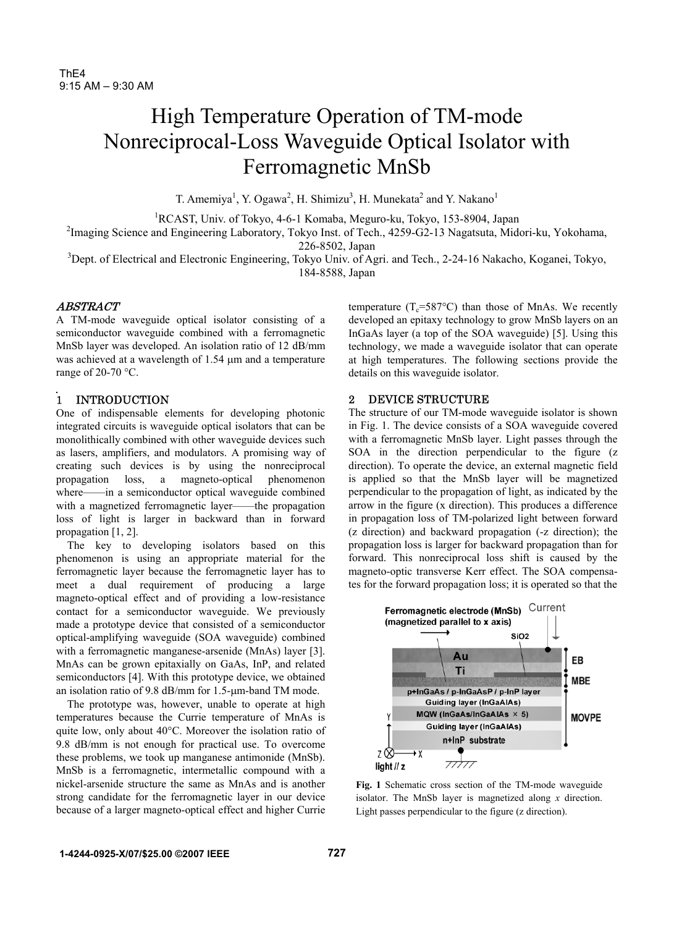# High Temperature Operation of TM-mode Nonreciprocal-Loss Waveguide Optical Isolator with Ferromagnetic MnSb

T. Amemiya<sup>1</sup>, Y. Ogawa<sup>2</sup>, H. Shimizu<sup>3</sup>, H. Munekata<sup>2</sup> and Y. Nakano<sup>1</sup>

<sup>1</sup>RCAST, Univ. of Tokyo, 4-6-1 Komaba, Meguro-ku, Tokyo, 153-8904, Japan

<sup>2</sup>Imaging Science and Engineering Laboratory, Tokyo Inst. of Tech., 4259-G2-13 Nagatsuta, Midori-ku, Yokohama, 226-8502, Japan

<sup>3</sup>Dept. of Electrical and Electronic Engineering, Tokyo Univ. of Agri. and Tech., 2-24-16 Nakacho, Koganei, Tokyo, 184-8588, Japan

## ABSTRACT

A TM-mode waveguide optical isolator consisting of a semiconductor waveguide combined with a ferromagnetic MnSb layer was developed. An isolation ratio of 12 dB/mm was achieved at a wavelength of 1.54  $\mu$ m and a temperature range of 20-70 °C.

# 1 INTRODUCTION

One of indispensable elements for developing photonic integrated circuits is waveguide optical isolators that can be monolithically combined with other waveguide devices such as lasers, amplifiers, and modulators. A promising way of creating such devices is by using the nonreciprocal propagation loss, a magneto-optical phenomenon where——in a semiconductor optical waveguide combined with a magnetized ferromagnetic layer——the propagation loss of light is larger in backward than in forward propagation [1, 2].

 The key to developing isolators based on this phenomenon is using an appropriate material for the ferromagnetic layer because the ferromagnetic layer has to meet a dual requirement of producing a large magneto-optical effect and of providing a low-resistance contact for a semiconductor waveguide. We previously made a prototype device that consisted of a semiconductor optical-amplifying waveguide (SOA waveguide) combined with a ferromagnetic manganese-arsenide (MnAs) layer [3]. MnAs can be grown epitaxially on GaAs, InP, and related semiconductors [4]. With this prototype device, we obtained an isolation ratio of 9.8 dB/mm for 1.5-µm-band TM mode.

The prototype was, however, unable to operate at high temperatures because the Currie temperature of MnAs is quite low, only about 40°C. Moreover the isolation ratio of 9.8 dB/mm is not enough for practical use. To overcome these problems, we took up manganese antimonide (MnSb). MnSb is a ferromagnetic, intermetallic compound with a nickel-arsenide structure the same as MnAs and is another strong candidate for the ferromagnetic layer in our device because of a larger magneto-optical effect and higher Currie

temperature  $(T_e=587^{\circ}C)$  than those of MnAs. We recently developed an epitaxy technology to grow MnSb layers on an InGaAs layer (a top of the SOA waveguide) [5]. Using this technology, we made a waveguide isolator that can operate at high temperatures. The following sections provide the details on this waveguide isolator.

## 2 DEVICE STRUCTURE

The structure of our TM-mode waveguide isolator is shown in Fig. 1. The device consists of a SOA waveguide covered with a ferromagnetic MnSb layer. Light passes through the SOA in the direction perpendicular to the figure (z direction). To operate the device, an external magnetic field is applied so that the MnSb layer will be magnetized perpendicular to the propagation of light, as indicated by the arrow in the figure (x direction). This produces a difference in propagation loss of TM-polarized light between forward (z direction) and backward propagation (-z direction); the propagation loss is larger for backward propagation than for forward. This nonreciprocal loss shift is caused by the magneto-optic transverse Kerr effect. The SOA compensates for the forward propagation loss; it is operated so that the



**Fig. 1** Schematic cross section of the TM-mode waveguide isolator. The MnSb layer is magnetized along *x* direction. Light passes perpendicular to the figure (z direction).